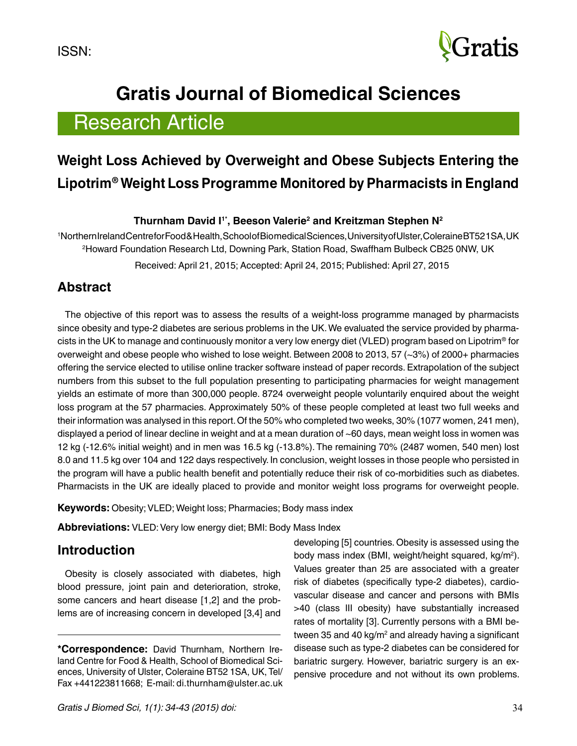

# **Gratis Journal of Biomedical Sciences**

# Research Article

# **Weight Loss Achieved by Overweight and Obese Subjects Entering the Lipotrim® Weight Loss Programme Monitored by Pharmacists in England**

#### **Thurnham David I1\*, Beeson Valerie2 and Kreitzman Stephen N2**

1 Northern Ireland Centre for Food & Health, School of Bio medical Sciences, University of Ulster, Coleraine BT52 1SA, UK 2 Howard Foundation Research Ltd, Downing Park, Station Road, Swaffham Bulbeck CB25 0NW, UK Received: April 21, 2015; Accepted: April 24, 2015; Published: April 27, 2015

### **Abstract**

The objective of this report was to assess the results of a weight-loss programme managed by pharmacists since obesity and type-2 diabetes are serious problems in the UK. We evaluated the service provided by pharmacists in the UK to manage and continuously monitor a very low energy diet (VLED) program based on Lipotrim® for overweight and obese people who wished to lose weight. Between 2008 to 2013, 57 (~3%) of 2000+ pharmacies offering the service elected to utilise online tracker software instead of paper records. Extrapolation of the subject numbers from this subset to the full population presenting to participating pharmacies for weight management yields an estimate of more than 300,000 people. 8724 overweight people voluntarily enquired about the weight loss program at the 57 pharmacies. Approximately 50% of these people completed at least two full weeks and their information was analysed in this report. Of the 50% who completed two weeks, 30% (1077 women, 241 men), displayed a period of linear decline in weight and at a mean duration of ~60 days, mean weight loss in women was 12 kg (-12.6% initial weight) and in men was 16.5 kg (-13.8%). The remaining 70% (2487 women, 540 men) lost 8.0 and 11.5 kg over 104 and 122 days respectively. In conclusion, weight losses in those people who persisted in the program will have a public health benefit and potentially reduce their risk of co-morbidities such as diabetes. Pharmacists in the UK are ideally placed to provide and monitor weight loss programs for overweight people.

**Keywords:** Obesity; VLED; Weight loss; Pharmacies; Body mass index

**Abbreviations:** VLED: Very low energy diet; BMI: Body Mass Index

## **Introduction**

Obesity is closely associated with diabetes, high blood pressure, joint pain and deterioration, stroke, some cancers and heart disease [1,2] and the problems are of increasing concern in developed [3,4] and developing [5] countries. Obesity is assessed using the body mass index (BMI, weight/height squared, kg/m<sup>2</sup> ). Values greater than 25 are associated with a greater risk of diabetes (specifically type-2 diabetes), cardiovascular disease and cancer and persons with BMIs >40 (class III obesity) have substantially increased rates of mortality [3]. Currently persons with a BMI between 35 and 40 kg/m² and already having a significant disease such as type-2 diabetes can be considered for bariatric surgery. However, bariatric surgery is an expensive procedure and not without its own problems.

**<sup>\*</sup>Correspondence:** David Thurnham, Northern Ireland Centre for Food & Health, School of Biomedical Sciences, University of Ulster, Coleraine BT52 1SA, UK, Tel/ Fax +441223811668; E-mail: [di.thurnham@ulster.ac.uk](mailto:di.thurnham@ulster.ac.uk)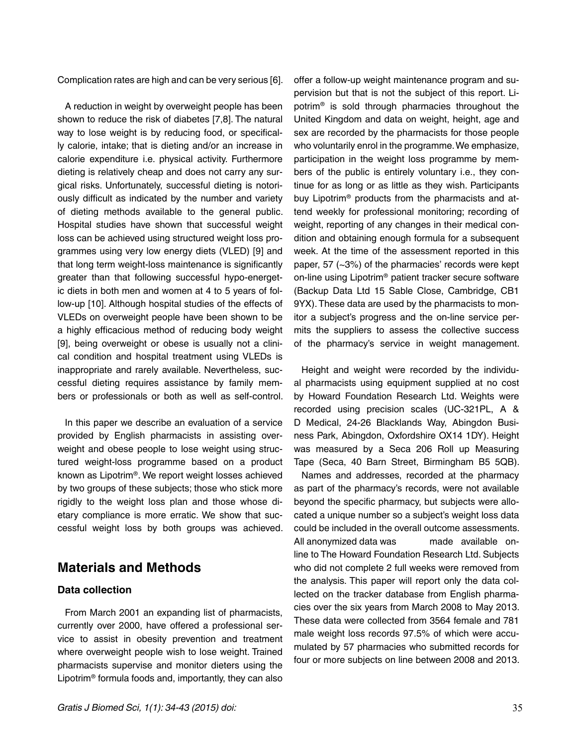Complication rates are high and can be very serious [6].

A reduction in weight by overweight people has been shown to reduce the risk of diabetes [7,8]. The natural way to lose weight is by reducing food, or specifically calorie, intake; that is dieting and/or an increase in calorie expenditure i.e. physical activity. Furthermore dieting is relatively cheap and does not carry any surgical risks. Unfortunately, successful dieting is notoriously difficult as indicated by the number and variety of dieting methods available to the general public. Hospital studies have shown that successful weight loss can be achieved using structured weight loss programmes using very low energy diets (VLED) [9] and that long term weight-loss maintenance is significantly greater than that following successful hypo-energetic diets in both men and women at 4 to 5 years of follow-up [10]. Although hospital studies of the effects of VLEDs on overweight people have been shown to be a highly efficacious method of reducing body weight [9], being overweight or obese is usually not a clinical condition and hospital treatment using VLEDs is inappropriate and rarely available. Nevertheless, successful dieting requires assistance by family members or professionals or both as well as self-control.

In this paper we describe an evaluation of a service provided by English pharmacists in assisting overweight and obese people to lose weight using structured weight-loss programme based on a product known as Lipotrim®. We report weight losses achieved by two groups of these subjects; those who stick more rigidly to the weight loss plan and those whose dietary compliance is more erratic. We show that successful weight loss by both groups was achieved.

### **Materials and Methods**

#### **Data collection**

From March 2001 an expanding list of pharmacists, currently over 2000, have offered a professional service to assist in obesity prevention and treatment where overweight people wish to lose weight. Trained pharmacists supervise and monitor dieters using the Lipotrim® formula foods and, importantly, they can also

offer a follow-up weight maintenance program and supervision but that is not the subject of this report. Lipotrim® is sold through pharmacies throughout the United Kingdom and data on weight, height, age and sex are recorded by the pharmacists for those people who voluntarily enrol in the programme. We emphasize, participation in the weight loss programme by members of the public is entirely voluntary i.e., they continue for as long or as little as they wish. Participants buy Lipotrim® products from the pharmacists and attend weekly for professional monitoring; recording of weight, reporting of any changes in their medical condition and obtaining enough formula for a subsequent week. At the time of the assessment reported in this paper, 57 (~3%) of the pharmacies' records were kept on-line using Lipotrim® patient tracker secure software (Backup Data Ltd 15 Sable Close, Cambridge, CB1 9YX). These data are used by the pharmacists to monitor a subject's progress and the on-line service permits the suppliers to assess the collective success of the pharmacy's service in weight management.

Height and weight were recorded by the individual pharmacists using equipment supplied at no cost by Howard Foundation Research Ltd. Weights were recorded using precision scales (UC-321PL, A & D Medical, 24-26 Blacklands Way, Abingdon Business Park, Abingdon, Oxfordshire OX14 1DY). Height was measured by a Seca 206 Roll up Measuring Tape (Seca, 40 Barn Street, Birmingham B5 5QB).

Names and addresses, recorded at the pharmacy as part of the pharmacy's records, were not available beyond the specific pharmacy, but subjects were allocated a unique number so a subject's weight loss data could be included in the overall outcome assessments. All anonymized data was made available online to The Howard Foundation Research Ltd. Subjects who did not complete 2 full weeks were removed from the analysis. This paper will report only the data collected on the tracker database from English pharmacies over the six years from March 2008 to May 2013. These data were collected from 3564 female and 781 male weight loss records 97.5% of which were accumulated by 57 pharmacies who submitted records for four or more subjects on line between 2008 and 2013.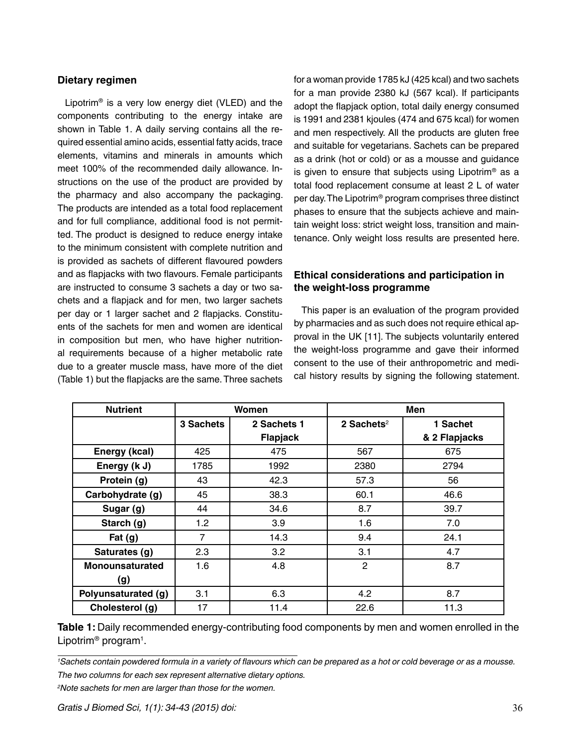#### **Dietary regimen**

Lipotrim® is a very low energy diet (VLED) and the components contributing to the energy intake are shown in Table 1. A daily serving contains all the required essential amino acids, essential fatty acids, trace elements, vitamins and minerals in amounts which meet 100% of the recommended daily allowance. Instructions on the use of the product are provided by the pharmacy and also accompany the packaging. The products are intended as a total food replacement and for full compliance, additional food is not permitted. The product is designed to reduce energy intake to the minimum consistent with complete nutrition and is provided as sachets of different flavoured powders and as flapjacks with two flavours. Female participants are instructed to consume 3 sachets a day or two sachets and a flapjack and for men, two larger sachets per day or 1 larger sachet and 2 flapjacks. Constituents of the sachets for men and women are identical in composition but men, who have higher nutritional requirements because of a higher metabolic rate due to a greater muscle mass, have more of the diet (Table 1) but the flapjacks are the same. Three sachets for a woman provide 1785 kJ (425 kcal) and two sachets for a man provide 2380 kJ (567 kcal). If participants adopt the flapjack option, total daily energy consumed is 1991 and 2381 kjoules (474 and 675 kcal) for women and men respectively. All the products are gluten free and suitable for vegetarians. Sachets can be prepared as a drink (hot or cold) or as a mousse and guidance is given to ensure that subjects using Lipotrim® as a total food replacement consume at least 2 L of water per day. The Lipotrim® program comprises three distinct phases to ensure that the subjects achieve and maintain weight loss: strict weight loss, transition and maintenance. Only weight loss results are presented here.

#### **Ethical considerations and participation in the weight-loss programme**

This paper is an evaluation of the program provided by pharmacies and as such does not require ethical approval in the UK [11]. The subjects voluntarily entered the weight-loss programme and gave their informed consent to the use of their anthropometric and medical history results by signing the following statement.

| <b>Nutrient</b>        |           | Women       | Men                    |               |  |
|------------------------|-----------|-------------|------------------------|---------------|--|
|                        | 3 Sachets | 2 Sachets 1 | 2 Sachets <sup>2</sup> | 1 Sachet      |  |
|                        |           | Flapjack    |                        | & 2 Flapjacks |  |
| Energy (kcal)          | 425       | 475         | 567                    | 675           |  |
| Energy (k J)           | 1785      | 1992        | 2380                   | 2794          |  |
| Protein (g)            | 43        | 42.3        | 57.3                   | 56            |  |
| Carbohydrate (g)       | 45        | 38.3        | 60.1                   | 46.6          |  |
| Sugar (g)              | 44        | 34.6        | 8.7                    | 39.7          |  |
| Starch (g)             | 1.2       | 3.9         | 1.6                    | 7.0           |  |
| Fat $(g)$              | 7         | 14.3        | 9.4                    | 24.1          |  |
| Saturates (g)          | 2.3       | 3.2         | 3.1                    | 4.7           |  |
| <b>Monounsaturated</b> | 1.6       | 4.8         | $\overline{2}$         | 8.7           |  |
| (g)                    |           |             |                        |               |  |
| Polyunsaturated (g)    | 3.1       | 6.3         | 4.2                    | 8.7           |  |
| Cholesterol (g)        | 17        | 11.4        | 22.6                   | 11.3          |  |

**Table 1:** Daily recommended energy-contributing food components by men and women enrolled in the Lipotrim<sup>®</sup> program<sup>1</sup>.

*1 Sachets contain powdered formula in a variety of flavours which can be prepared as a hot or cold beverage or as a mousse. The two columns for each sex represent alternative dietary options.*

*2 Note sachets for men are larger than those for the women.*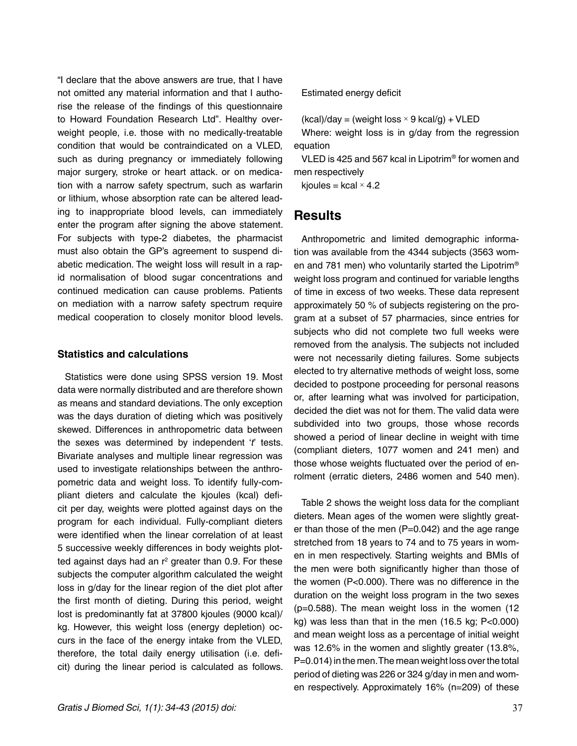"I declare that the above answers are true, that I have not omitted any material information and that I authorise the release of the findings of this questionnaire to Howard Foundation Research Ltd". Healthy overweight people, i.e. those with no medically-treatable condition that would be contraindicated on a VLED, such as during pregnancy or immediately following major surgery, stroke or heart attack. or on medication with a narrow safety spectrum, such as warfarin or lithium, whose absorption rate can be altered leading to inappropriate blood levels, can immediately enter the program after signing the above statement. For subjects with type-2 diabetes, the pharmacist must also obtain the GP's agreement to suspend diabetic medication. The weight loss will result in a rapid normalisation of blood sugar concentrations and continued medication can cause problems. Patients on mediation with a narrow safety spectrum require medical cooperation to closely monitor blood levels.

#### **Statistics and calculations**

Statistics were done using SPSS version 19. Most data were normally distributed and are therefore shown as means and standard deviations. The only exception was the days duration of dieting which was positively skewed. Differences in anthropometric data between the sexes was determined by independent '*t*' tests. Bivariate analyses and multiple linear regression was used to investigate relationships between the anthropometric data and weight loss. To identify fully-compliant dieters and calculate the kjoules (kcal) deficit per day, weights were plotted against days on the program for each individual. Fully-compliant dieters were identified when the linear correlation of at least 5 successive weekly differences in body weights plotted against days had an  $r^2$  greater than 0.9. For these subjects the computer algorithm calculated the weight loss in g/day for the linear region of the diet plot after the first month of dieting. During this period, weight lost is predominantly fat at 37800 kjoules (9000 kcal)/ kg. However, this weight loss (energy depletion) occurs in the face of the energy intake from the VLED, therefore, the total daily energy utilisation (i.e. deficit) during the linear period is calculated as follows.

#### Estimated energy deficit

 $(kcal)/day = (weight loss \times 9 kcal/g) + VLED$ 

Where: weight loss is in g/day from the regression equation

VLED is 425 and 567 kcal in Lipotrim® for women and men respectively

kjoules = kcal  $\times$  4.2

### **Results**

Anthropometric and limited demographic information was available from the 4344 subjects (3563 women and 781 men) who voluntarily started the Lipotrim® weight loss program and continued for variable lengths of time in excess of two weeks. These data represent approximately 50 % of subjects registering on the program at a subset of 57 pharmacies, since entries for subjects who did not complete two full weeks were removed from the analysis. The subjects not included were not necessarily dieting failures. Some subjects elected to try alternative methods of weight loss, some decided to postpone proceeding for personal reasons or, after learning what was involved for participation, decided the diet was not for them. The valid data were subdivided into two groups, those whose records showed a period of linear decline in weight with time (compliant dieters, 1077 women and 241 men) and those whose weights fluctuated over the period of enrolment (erratic dieters, 2486 women and 540 men).

Table 2 shows the weight loss data for the compliant dieters. Mean ages of the women were slightly greater than those of the men  $(P=0.042)$  and the age range stretched from 18 years to 74 and to 75 years in women in men respectively. Starting weights and BMIs of the men were both significantly higher than those of the women (P<0.000). There was no difference in the duration on the weight loss program in the two sexes (p=0.588). The mean weight loss in the women (12 kg) was less than that in the men (16.5 kg; P<0.000) and mean weight loss as a percentage of initial weight was 12.6% in the women and slightly greater (13.8%, P=0.014) in the men. The mean weight loss over the total period of dieting was 226 or 324 g/day in men and women respectively. Approximately 16% (n=209) of these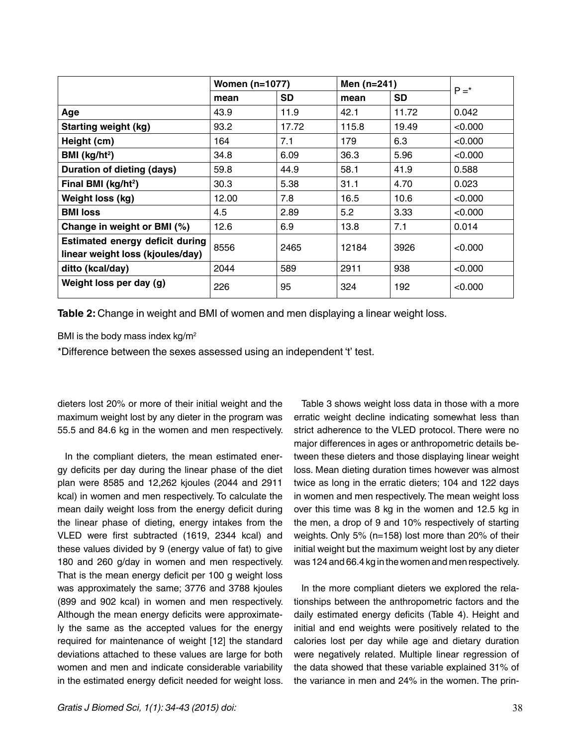|                                                                            | Women (n=1077) |           | Men (n=241) |           | $P = *$ |
|----------------------------------------------------------------------------|----------------|-----------|-------------|-----------|---------|
|                                                                            | mean           | <b>SD</b> | mean        | <b>SD</b> |         |
| Age                                                                        | 43.9           | 11.9      | 42.1        | 11.72     | 0.042   |
| <b>Starting weight (kg)</b>                                                | 93.2           | 17.72     | 115.8       | 19.49     | < 0.000 |
| Height (cm)                                                                | 164            | 7.1       | 179         | 6.3       | < 0.000 |
| BMI ( $kg/ht^2$ )                                                          | 34.8           | 6.09      | 36.3        | 5.96      | < 0.000 |
| Duration of dieting (days)                                                 | 59.8           | 44.9      | 58.1        | 41.9      | 0.588   |
| Final BMI (kg/ht <sup>2</sup> )                                            | 30.3           | 5.38      | 31.1        | 4.70      | 0.023   |
| Weight loss (kg)                                                           | 12.00          | 7.8       | 16.5        | 10.6      | < 0.000 |
| <b>BMI</b> loss                                                            | 4.5            | 2.89      | 5.2         | 3.33      | < 0.000 |
| Change in weight or BMI (%)                                                | 12.6           | 6.9       | 13.8        | 7.1       | 0.014   |
| <b>Estimated energy deficit during</b><br>linear weight loss (kjoules/day) | 8556           | 2465      | 12184       | 3926      | < 0.000 |
| ditto (kcal/day)                                                           | 2044           | 589       | 2911        | 938       | < 0.000 |
| Weight loss per day (g)                                                    | 226            | 95        | 324         | 192       | < 0.000 |

**Table 2:** Change in weight and BMI of women and men displaying a linear weight loss.

BMI is the body mass index kg/m<sup>2</sup>

\*Difference between the sexes assessed using an independent 't' test.

dieters lost 20% or more of their initial weight and the maximum weight lost by any dieter in the program was 55.5 and 84.6 kg in the women and men respectively.

In the compliant dieters, the mean estimated energy deficits per day during the linear phase of the diet plan were 8585 and 12,262 kjoules (2044 and 2911 kcal) in women and men respectively. To calculate the mean daily weight loss from the energy deficit during the linear phase of dieting, energy intakes from the VLED were first subtracted (1619, 2344 kcal) and these values divided by 9 (energy value of fat) to give 180 and 260 g/day in women and men respectively. That is the mean energy deficit per 100 g weight loss was approximately the same; 3776 and 3788 kjoules (899 and 902 kcal) in women and men respectively. Although the mean energy deficits were approximately the same as the accepted values for the energy required for maintenance of weight [12] the standard deviations attached to these values are large for both women and men and indicate considerable variability in the estimated energy deficit needed for weight loss.

Table 3 shows weight loss data in those with a more erratic weight decline indicating somewhat less than strict adherence to the VLED protocol. There were no major differences in ages or anthropometric details between these dieters and those displaying linear weight loss. Mean dieting duration times however was almost twice as long in the erratic dieters; 104 and 122 days in women and men respectively. The mean weight loss over this time was 8 kg in the women and 12.5 kg in the men, a drop of 9 and 10% respectively of starting weights. Only 5% (n=158) lost more than 20% of their initial weight but the maximum weight lost by any dieter was 124 and 66.4 kg in the women and men respectively.

In the more compliant dieters we explored the relationships between the anthropometric factors and the daily estimated energy deficits (Table 4). Height and initial and end weights were positively related to the calories lost per day while age and dietary duration were negatively related. Multiple linear regression of the data showed that these variable explained 31% of the variance in men and 24% in the women. The prin-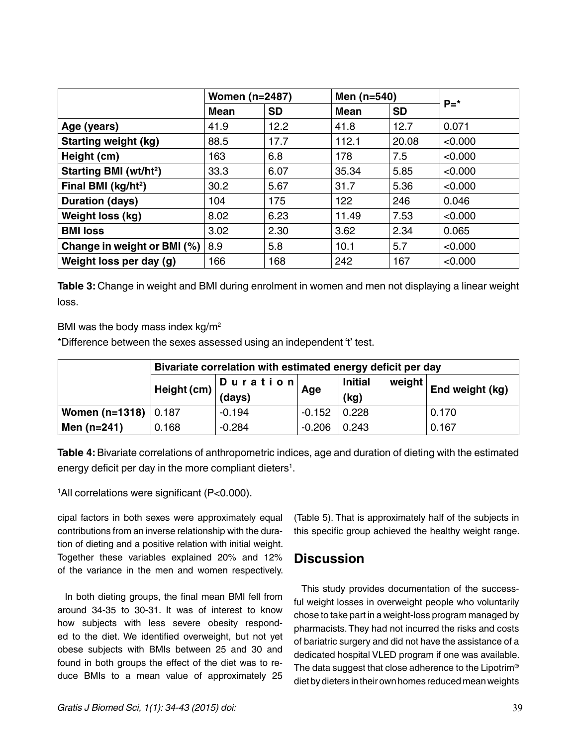|                                    | <b>Women (n=2487)</b> |           | Men $(n=540)$ |           | $P = *$ |  |
|------------------------------------|-----------------------|-----------|---------------|-----------|---------|--|
|                                    | Mean                  | <b>SD</b> | Mean          | <b>SD</b> |         |  |
| Age (years)                        | 41.9                  | 12.2      | 41.8          | 12.7      | 0.071   |  |
| <b>Starting weight (kg)</b>        | 88.5                  | 17.7      | 112.1         | 20.08     | < 0.000 |  |
| Height (cm)                        | 163                   | 6.8       | 178           | 7.5       | < 0.000 |  |
| Starting BMI (wt/ht <sup>2</sup> ) | 33.3                  | 6.07      | 35.34         | 5.85      | < 0.000 |  |
| Final BMI (kg/ht <sup>2</sup> )    | 30.2                  | 5.67      | 31.7          | 5.36      | < 0.000 |  |
| Duration (days)                    | 104                   | 175       | 122           | 246       | 0.046   |  |
| Weight loss (kg)                   | 8.02                  | 6.23      | 11.49         | 7.53      | < 0.000 |  |
| <b>BMI loss</b>                    | 3.02                  | 2.30      | 3.62          | 2.34      | 0.065   |  |
| Change in weight or BMI (%)        | 8.9                   | 5.8       | 10.1          | 5.7       | < 0.000 |  |
| Weight loss per day (g)            | 166                   | 168       | 242           | 167       | < 0.000 |  |

**Table 3:** Change in weight and BMI during enrolment in women and men not displaying a linear weight loss.

BMI was the body mass index kg/m2

\*Difference between the sexes assessed using an independent 't' test.

|                         | Bivariate correlation with estimated energy deficit per day |                                               |          |                                  |                        |  |
|-------------------------|-------------------------------------------------------------|-----------------------------------------------|----------|----------------------------------|------------------------|--|
|                         |                                                             | Duration <br>  Height (cm) $\Big\vert$ (days) | Age      | <b>Initial</b><br>weight<br>(kg) | <b>End weight (kg)</b> |  |
| Women (n=1318) $ 0.187$ |                                                             | $-0.194$                                      | $-0.152$ | 0.228                            | 0.170                  |  |
| Men $(n=241)$           | 0.168                                                       | $-0.284$                                      | $-0.206$ | 0.243                            | 0.167                  |  |

**Table 4:** Bivariate correlations of anthropometric indices, age and duration of dieting with the estimated energy deficit per day in the more compliant dieters $^{\rm 1}.$ 

1 All correlations were significant (P<0.000).

cipal factors in both sexes were approximately equal contributions from an inverse relationship with the duration of dieting and a positive relation with initial weight. Together these variables explained 20% and 12% of the variance in the men and women respectively.

In both dieting groups, the final mean BMI fell from around 34-35 to 30-31. It was of interest to know how subjects with less severe obesity responded to the diet. We identified overweight, but not yet obese subjects with BMIs between 25 and 30 and found in both groups the effect of the diet was to reduce BMIs to a mean value of approximately 25

(Table 5). That is approximately half of the subjects in this specific group achieved the healthy weight range.

## **Discussion**

This study provides documentation of the successful weight losses in overweight people who voluntarily chose to take part in a weight-loss program managed by pharmacists. They had not incurred the risks and costs of bariatric surgery and did not have the assistance of a dedicated hospital VLED program if one was available. The data suggest that close adherence to the Lipotrim<sup>®</sup> diet by dieters in their own homes reduced mean weights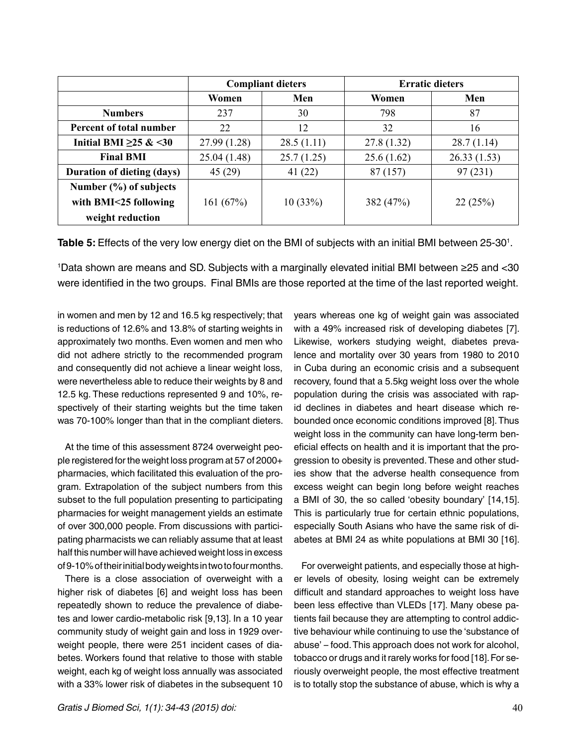|                                   |              | <b>Compliant dieters</b> | <b>Erratic dieters</b> |             |  |
|-----------------------------------|--------------|--------------------------|------------------------|-------------|--|
|                                   | Women        | Men                      | Women                  | Men         |  |
| <b>Numbers</b>                    | 237          | 30                       | 798                    | 87          |  |
| Percent of total number           | 22           | 12                       | 32                     | 16          |  |
| Initial BMI $\geq$ 25 & <30       | 27.99 (1.28) | 28.5(1.11)               | 27.8 (1.32)            | 28.7(1.14)  |  |
| <b>Final BMI</b>                  | 25.04 (1.48) | 25.7(1.25)               | 25.6(1.62)             | 26.33(1.53) |  |
| <b>Duration of dieting (days)</b> | 45(29)       | 41(22)                   | 87 (157)               | 97(231)     |  |
| Number (%) of subjects            |              |                          |                        |             |  |
| with BMI<25 following             | 161(67%)     | 10(33%)                  | 382 (47%)              | 22(25%)     |  |
| weight reduction                  |              |                          |                        |             |  |

**Table 5:** Effects of the very low energy diet on the BMI of subjects with an initial BMI between 25-30<sup>1</sup>.

1 Data shown are means and SD. Subjects with a marginally elevated initial BMI between ≥25 and <30 were identified in the two groups. Final BMIs are those reported at the time of the last reported weight.

in women and men by 12 and 16.5 kg respectively; that is reductions of 12.6% and 13.8% of starting weights in approximately two months. Even women and men who did not adhere strictly to the recommended program and consequently did not achieve a linear weight loss, were nevertheless able to reduce their weights by 8 and 12.5 kg. These reductions represented 9 and 10%, respectively of their starting weights but the time taken was 70-100% longer than that in the compliant dieters.

At the time of this assessment 8724 overweight people registered for the weight loss program at 57 of 2000+ pharmacies, which facilitated this evaluation of the program. Extrapolation of the subject numbers from this subset to the full population presenting to participating pharmacies for weight management yields an estimate of over 300,000 people. From discussions with participating pharmacists we can reliably assume that at least half this number will have achieved weight loss in excess of 9-10% of their initial body weights in two to four months.

There is a close association of overweight with a higher risk of diabetes [6] and weight loss has been repeatedly shown to reduce the prevalence of diabetes and lower cardio-metabolic risk [9,13]. In a 10 year community study of weight gain and loss in 1929 overweight people, there were 251 incident cases of diabetes. Workers found that relative to those with stable weight, each kg of weight loss annually was associated with a 33% lower risk of diabetes in the subsequent 10

*Gratis J Biomed Sci, 1(1): 34-43 (2015) doi:* 40

years whereas one kg of weight gain was associated with a 49% increased risk of developing diabetes [7]. Likewise, workers studying weight, diabetes prevalence and mortality over 30 years from 1980 to 2010 in Cuba during an economic crisis and a subsequent recovery, found that a 5.5kg weight loss over the whole population during the crisis was associated with rapid declines in diabetes and heart disease which rebounded once economic conditions improved [8]. Thus weight loss in the community can have long-term beneficial effects on health and it is important that the progression to obesity is prevented. These and other studies show that the adverse health consequence from excess weight can begin long before weight reaches a BMI of 30, the so called 'obesity boundary' [14,15]. This is particularly true for certain ethnic populations, especially South Asians who have the same risk of diabetes at BMI 24 as white populations at BMI 30 [16].

For overweight patients, and especially those at higher levels of obesity, losing weight can be extremely difficult and standard approaches to weight loss have been less effective than VLEDs [17]. Many obese patients fail because they are attempting to control addictive behaviour while continuing to use the 'substance of abuse' – food. This approach does not work for alcohol, tobacco or drugs and it rarely works for food [18]. For seriously overweight people, the most effective treatment is to totally stop the substance of abuse, which is why a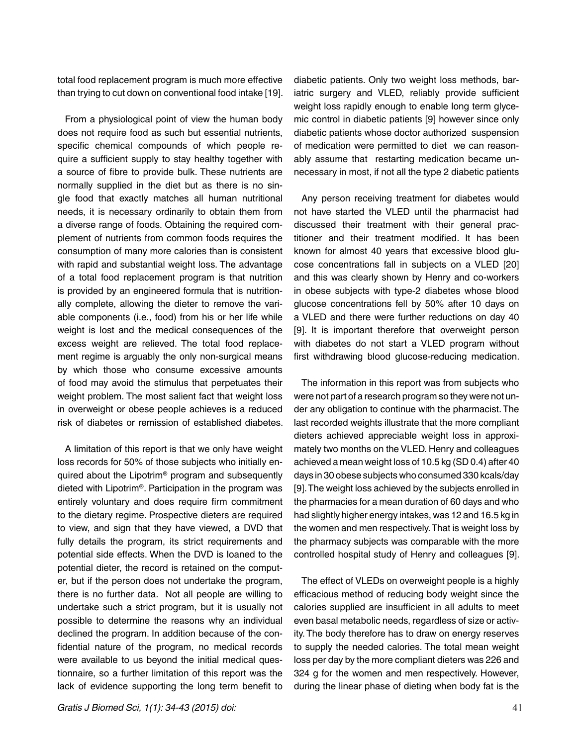total food replacement program is much more effective than trying to cut down on conventional food intake [19].

From a physiological point of view the human body does not require food as such but essential nutrients, specific chemical compounds of which people require a sufficient supply to stay healthy together with a source of fibre to provide bulk. These nutrients are normally supplied in the diet but as there is no single food that exactly matches all human nutritional needs, it is necessary ordinarily to obtain them from a diverse range of foods. Obtaining the required complement of nutrients from common foods requires the consumption of many more calories than is consistent with rapid and substantial weight loss. The advantage of a total food replacement program is that nutrition is provided by an engineered formula that is nutritionally complete, allowing the dieter to remove the variable components (i.e., food) from his or her life while weight is lost and the medical consequences of the excess weight are relieved. The total food replacement regime is arguably the only non-surgical means by which those who consume excessive amounts of food may avoid the stimulus that perpetuates their weight problem. The most salient fact that weight loss in overweight or obese people achieves is a reduced risk of diabetes or remission of established diabetes.

A limitation of this report is that we only have weight loss records for 50% of those subjects who initially enquired about the Lipotrim® program and subsequently dieted with Lipotrim®. Participation in the program was entirely voluntary and does require firm commitment to the dietary regime. Prospective dieters are required to view, and sign that they have viewed, a DVD that fully details the program, its strict requirements and potential side effects. When the DVD is loaned to the potential dieter, the record is retained on the computer, but if the person does not undertake the program, there is no further data. Not all people are willing to undertake such a strict program, but it is usually not possible to determine the reasons why an individual declined the program. In addition because of the confidential nature of the program, no medical records were available to us beyond the initial medical questionnaire, so a further limitation of this report was the lack of evidence supporting the long term benefit to

diabetic patients. Only two weight loss methods, bariatric surgery and VLED, reliably provide sufficient weight loss rapidly enough to enable long term glycemic control in diabetic patients [9] however since only diabetic patients whose doctor authorized suspension of medication were permitted to diet we can reasonably assume that restarting medication became unnecessary in most, if not all the type 2 diabetic patients

Any person receiving treatment for diabetes would not have started the VLED until the pharmacist had discussed their treatment with their general practitioner and their treatment modified. It has been known for almost 40 years that excessive blood glucose concentrations fall in subjects on a VLED [20] and this was clearly shown by Henry and co-workers in obese subjects with type-2 diabetes whose blood glucose concentrations fell by 50% after 10 days on a VLED and there were further reductions on day 40 [9]. It is important therefore that overweight person with diabetes do not start a VLED program without first withdrawing blood glucose-reducing medication.

The information in this report was from subjects who were not part of a research program so they were not under any obligation to continue with the pharmacist. The last recorded weights illustrate that the more compliant dieters achieved appreciable weight loss in approximately two months on the VLED. Henry and colleagues achieved a mean weight loss of 10.5 kg (SD 0.4) after 40 days in 30 obese subjects who consumed 330 kcals/day [9]. The weight loss achieved by the subjects enrolled in the pharmacies for a mean duration of 60 days and who had slightly higher energy intakes, was 12 and 16.5 kg in the women and men respectively. That is weight loss by the pharmacy subjects was comparable with the more controlled hospital study of Henry and colleagues [9].

The effect of VLEDs on overweight people is a highly efficacious method of reducing body weight since the calories supplied are insufficient in all adults to meet even basal metabolic needs, regardless of size or activity. The body therefore has to draw on energy reserves to supply the needed calories. The total mean weight loss per day by the more compliant dieters was 226 and 324 g for the women and men respectively. However, during the linear phase of dieting when body fat is the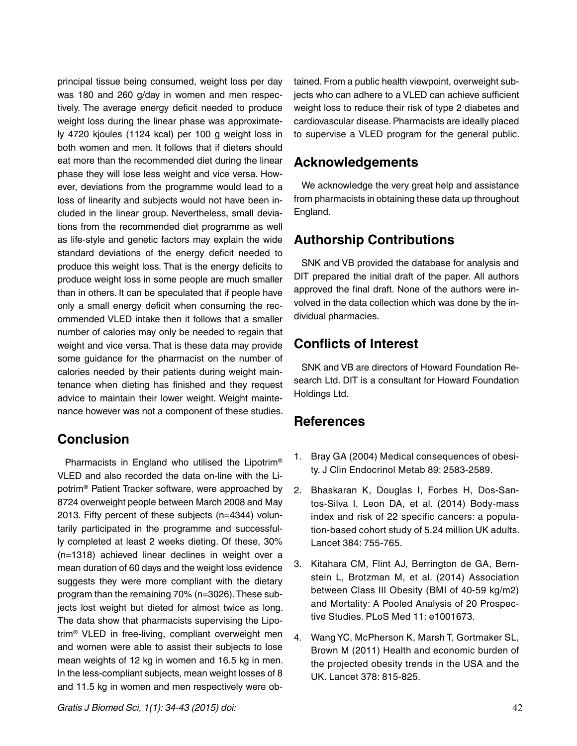principal tissue being consumed, weight loss per day was 180 and 260 g/day in women and men respectively. The average energy deficit needed to produce weight loss during the linear phase was approximately 4720 kjoules (1124 kcal) per 100 g weight loss in both women and men. It follows that if dieters should eat more than the recommended diet during the linear phase they will lose less weight and vice versa. However, deviations from the programme would lead to a loss of linearity and subjects would not have been included in the linear group. Nevertheless, small deviations from the recommended diet programme as well as life-style and genetic factors may explain the wide standard deviations of the energy deficit needed to produce this weight loss. That is the energy deficits to produce weight loss in some people are much smaller than in others. It can be speculated that if people have only a small energy deficit when consuming the recommended VLED intake then it follows that a smaller number of calories may only be needed to regain that weight and vice versa. That is these data may provide some guidance for the pharmacist on the number of calories needed by their patients during weight maintenance when dieting has finished and they request advice to maintain their lower weight. Weight maintenance however was not a component of these studies.

## **Conclusion**

Pharmacists in England who utilised the Lipotrim® VLED and also recorded the data on-line with the Lipotrim® Patient Tracker software, were approached by 8724 overweight people between March 2008 and May 2013. Fifty percent of these subjects (n=4344) voluntarily participated in the programme and successfully completed at least 2 weeks dieting. Of these, 30% (n=1318) achieved linear declines in weight over a mean duration of 60 days and the weight loss evidence suggests they were more compliant with the dietary program than the remaining 70% (n=3026). These subjects lost weight but dieted for almost twice as long. The data show that pharmacists supervising the Lipotrim® VLED in free-living, compliant overweight men and women were able to assist their subjects to lose mean weights of 12 kg in women and 16.5 kg in men. In the less-compliant subjects, mean weight losses of 8 and 11.5 kg in women and men respectively were obtained. From a public health viewpoint, overweight subjects who can adhere to a VLED can achieve sufficient weight loss to reduce their risk of type 2 diabetes and cardiovascular disease. Pharmacists are ideally placed to supervise a VLED program for the general public.

## **Acknowledgements**

We acknowledge the very great help and assistance from pharmacists in obtaining these data up throughout England.

## **Authorship Contributions**

SNK and VB provided the database for analysis and DIT prepared the initial draft of the paper. All authors approved the final draft. None of the authors were involved in the data collection which was done by the individual pharmacies.

## **Conflicts of Interest**

SNK and VB are directors of Howard Foundation Research Ltd. DIT is a consultant for Howard Foundation Holdings Ltd.

## **References**

- 1. [Bray GA \(2004\) Medical consequences of obesi](http://www.ncbi.nlm.nih.gov/pubmed/15181027)[ty. J Clin Endocrinol Metab 89: 2583-2589.](http://www.ncbi.nlm.nih.gov/pubmed/15181027)
- 2. [Bhaskaran K, Douglas I, Forbes H, Dos-San](http://www.ncbi.nlm.nih.gov/pmc/articles/PMC4151483/)[tos-Silva I, Leon DA, et al. \(2014\) Body-mass](http://www.ncbi.nlm.nih.gov/pmc/articles/PMC4151483/)  [index and risk of 22 specific cancers: a popula](http://www.ncbi.nlm.nih.gov/pmc/articles/PMC4151483/)[tion-based cohort study of 5.24 million UK adults.](http://www.ncbi.nlm.nih.gov/pmc/articles/PMC4151483/) [Lancet 384: 755-765.](http://www.ncbi.nlm.nih.gov/pmc/articles/PMC4151483/)
- 3. [Kitahara CM, Flint AJ, Berrington de GA, Bern](http://www.ncbi.nlm.nih.gov/pubmed/25003901)[stein L, Brotzman M, et al. \(2014\) Association](http://www.ncbi.nlm.nih.gov/pubmed/25003901)  [between Class III Obesity \(BMI of 40-59 kg/m2\)](http://www.ncbi.nlm.nih.gov/pubmed/25003901)  [and Mortality: A Pooled Analysis of 20 Prospec](http://www.ncbi.nlm.nih.gov/pubmed/25003901)[tive Studies. PLoS Med 11: e1001673.](http://www.ncbi.nlm.nih.gov/pubmed/25003901)
- 4. [Wang YC, McPherson K, Marsh T, Gortmaker SL,](http://www.ncbi.nlm.nih.gov/pubmed/21872750)  [Brown M \(2011\) Health and economic burden of](http://www.ncbi.nlm.nih.gov/pubmed/21872750)  [the projected obesity trends in the USA and the](http://www.ncbi.nlm.nih.gov/pubmed/21872750) [UK. Lancet 378: 815-825.](http://www.ncbi.nlm.nih.gov/pubmed/21872750)